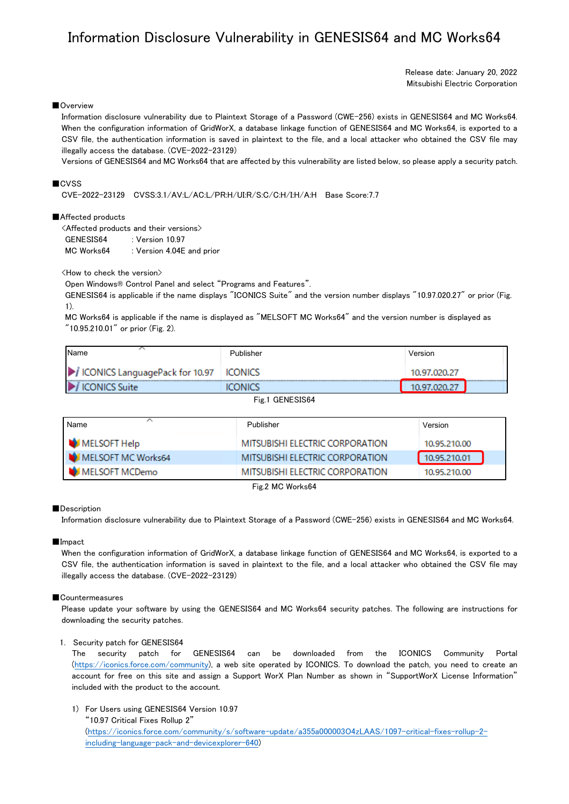# Information Disclosure Vulnerability in GENESIS64 and MC Works64

Release date: January 20, 2022 Mitsubishi Electric Corporation

# ■Overview

Information disclosure vulnerability due to Plaintext Storage of a Password (CWE-256) exists in GENESIS64 and MC Works64. When the configuration information of GridWorX, a database linkage function of GENESIS64 and MC Works64, is exported to a CSV file, the authentication information is saved in plaintext to the file, and a local attacker who obtained the CSV file may illegally access the database. (CVE-2022-23129)

Versions of GENESIS64 and MC Works64 that are affected by this vulnerability are listed below, so please apply a security patch.

# ■CVSS

CVE-2022-23129 CVSS:3.1/AV:L/AC:L/PR:H/UI:R/S:C/C:H/I:H/A:H Base Score:7.7

## ■Affected products

| $\triangle$ Affected products and their versions $\triangleright$ |                           |  |  |
|-------------------------------------------------------------------|---------------------------|--|--|
| GENESIS64                                                         | : Version $10.97$         |  |  |
| MC Works64                                                        | : Version 4.04E and prior |  |  |

<How to check the version>

Open Windows® Control Panel and select "Programs and Features".

GENESIS64 is applicable if the name displays "ICONICS Suite" and the version number displays "10.97.020.27" or prior (Fig. 1).

MC Works64 is applicable if the name is displayed as "MELSOFT MC Works64" and the version number is displayed as "10.95.210.01" or prior (Fig. 2).

| <b>Name</b>                              | Publisher    | Version                           |
|------------------------------------------|--------------|-----------------------------------|
| ICONICS LanguagePack for 10.97   ICONICS |              | 10.97.020.27                      |
| <br><b>ICONICS Suite</b>                 | <b>PNICS</b> | <b>**************************</b> |
|                                          |              |                                   |

Fig.1 GENESIS64

| Name               | Publisher                       | Version      |
|--------------------|---------------------------------|--------------|
| MELSOFT Help       | MITSUBISHI ELECTRIC CORPORATION | 10.95.210.00 |
| MELSOFT MC Works64 | MITSUBISHI ELECTRIC CORPORATION | 10.95.210.01 |
| MELSOFT MCDemo     | MITSUBISHI ELECTRIC CORPORATION | 10.95.210.00 |

Fig.2 MC Works64

## ■Description

Information disclosure vulnerability due to Plaintext Storage of a Password (CWE-256) exists in GENESIS64 and MC Works64.

#### ■Impact

When the configuration information of GridWorX, a database linkage function of GENESIS64 and MC Works64, is exported to a CSV file, the authentication information is saved in plaintext to the file, and a local attacker who obtained the CSV file may illegally access the database. (CVE-2022-23129)

## ■Countermeasures

Please update your software by using the GENESIS64 and MC Works64 security patches. The following are instructions for downloading the security patches.

## 1. Security patch for GENESIS64

The security patch for GENESIS64 can be downloaded from the ICONICS Community Portal [\(https://iconics.force.com/community\)](https://iconics.force.com/community), a web site operated by ICONICS. To download the patch, you need to create an account for free on this site and assign a Support WorX Plan Number as shown in "SupportWorX License Information" included with the product to the account.

1) For Users using GENESIS64 Version 10.97

"10.97 Critical Fixes Rollup 2" [\(https://iconics.force.com/community/s/software-update/a355a000003O4zLAAS/1097-critical-fixes-rollup-2](https://iconics.force.com/community/s/software-update/a355a000003O4zLAAS/1097-critical-fixes-rollup-2-including-language-pack-and-devicexplorer-640) [including-language-pack-and-devicexplorer-640\)](https://iconics.force.com/community/s/software-update/a355a000003O4zLAAS/1097-critical-fixes-rollup-2-including-language-pack-and-devicexplorer-640)